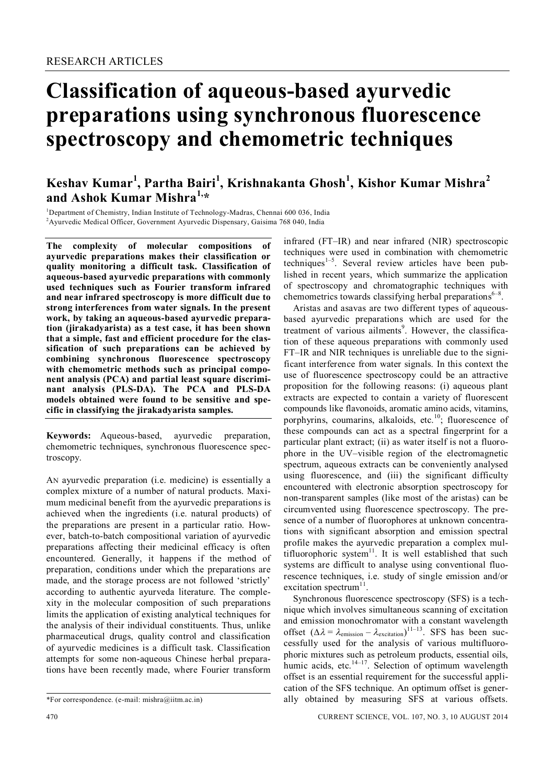# **Classification of aqueous-based ayurvedic preparations using synchronous fluorescence spectroscopy and chemometric techniques**

# **Keshav Kumar<sup>1</sup> , Partha Bairi<sup>1</sup> , Krishnakanta Ghosh<sup>1</sup> , Kishor Kumar Mishra<sup>2</sup> and Ashok Kumar Mishra1,\***

<sup>1</sup>Department of Chemistry, Indian Institute of Technology-Madras, Chennai 600 036, India <sup>2</sup> Ayurvedic Medical Officer, Government Ayurvedic Dispensary, Gaisima 768 040, India

**The complexity of molecular compositions of ayurvedic preparations makes their classification or quality monitoring a difficult task. Classification of aqueous-based ayurvedic preparations with commonly used techniques such as Fourier transform infrared and near infrared spectroscopy is more difficult due to strong interferences from water signals. In the present work, by taking an aqueous-based ayurvedic preparation (jirakadyarista) as a test case, it has been shown that a simple, fast and efficient procedure for the classification of such preparations can be achieved by combining synchronous fluorescence spectroscopy with chemometric methods such as principal component analysis (PCA) and partial least square discriminant analysis (PLS-DA). The PCA and PLS-DA models obtained were found to be sensitive and specific in classifying the jirakadyarista samples.**

**Keywords:** Aqueous-based, ayurvedic preparation, chemometric techniques, synchronous fluorescence spectroscopy.

AN ayurvedic preparation (i.e. medicine) is essentially a complex mixture of a number of natural products. Maximum medicinal benefit from the ayurvedic preparations is achieved when the ingredients (i.e. natural products) of the preparations are present in a particular ratio. However, batch-to-batch compositional variation of ayurvedic preparations affecting their medicinal efficacy is often encountered. Generally, it happens if the method of preparation, conditions under which the preparations are made, and the storage process are not followed 'strictly' according to authentic ayurveda literature. The complexity in the molecular composition of such preparations limits the application of existing analytical techniques for the analysis of their individual constituents. Thus, unlike pharmaceutical drugs, quality control and classification of ayurvedic medicines is a difficult task. Classification attempts for some non-aqueous Chinese herbal preparations have been recently made, where Fourier transform

infrared (FT–IR) and near infrared (NIR) spectroscopic techniques were used in combination with chemometric techniques<sup>1-5</sup>. Several review articles have been published in recent years, which summarize the application of spectroscopy and chromatographic techniques with chemometrics towards classifying herbal preparations $6-8$ .

Aristas and asavas are two different types of aqueousbased ayurvedic preparations which are used for the treatment of various ailments<sup>9</sup>. However, the classification of these aqueous preparations with commonly used FT–IR and NIR techniques is unreliable due to the significant interference from water signals. In this context the use of fluorescence spectroscopy could be an attractive proposition for the following reasons: (i) aqueous plant extracts are expected to contain a variety of fluorescent compounds like flavonoids, aromatic amino acids, vitamins, porphyrins, coumarins, alkaloids, etc.<sup>10</sup>; fluorescence of these compounds can act as a spectral fingerprint for a particular plant extract; (ii) as water itself is not a fluorophore in the UV–visible region of the electromagnetic spectrum, aqueous extracts can be conveniently analysed using fluorescence, and (iii) the significant difficulty encountered with electronic absorption spectroscopy for non-transparent samples (like most of the aristas) can be circumvented using fluorescence spectroscopy. The presence of a number of fluorophores at unknown concentrations with significant absorption and emission spectral profile makes the ayurvedic preparation a complex multifluorophoric system $11$ . It is well established that such systems are difficult to analyse using conventional fluorescence techniques, i.e. study of single emission and/or excitation spectrum $11$ .

Synchronous fluorescence spectroscopy (SFS) is a technique which involves simultaneous scanning of excitation and emission monochromator with a constant wavelength offset  $(\Delta \lambda = \lambda_{\text{emission}} - \lambda_{\text{excitation}})^{11-13}$ . SFS has been successfully used for the analysis of various multifluorophoric mixtures such as petroleum products, essential oils, humic acids, etc.<sup>14-17</sup>. Selection of optimum wavelength offset is an essential requirement for the successful application of the SFS technique. An optimum offset is generally obtained by measuring SFS at various offsets.

<sup>\*</sup>For correspondence. (e-mail: mishra@iitm.ac.in)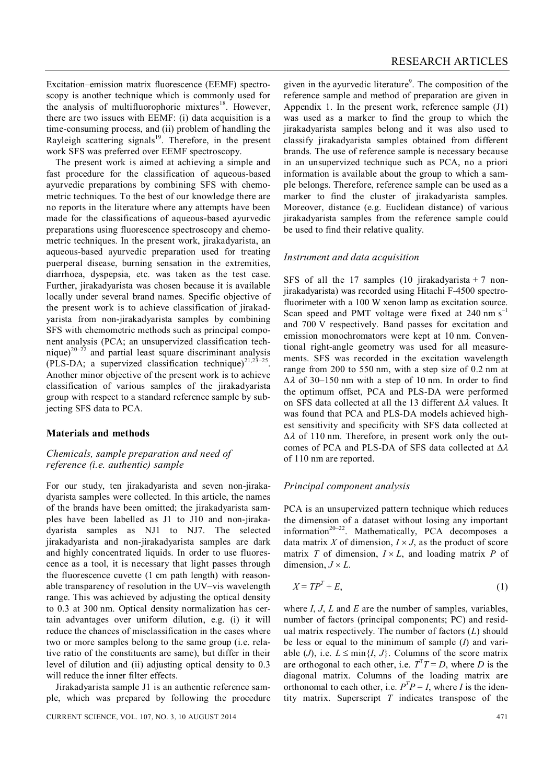Excitation–emission matrix fluorescence (EEMF) spectroscopy is another technique which is commonly used for the analysis of multifluorophoric mixtures<sup>18</sup>. However, there are two issues with EEMF: (i) data acquisition is a time-consuming process, and (ii) problem of handling the Rayleigh scattering signals<sup>19</sup>. Therefore, in the present work SFS was preferred over EEMF spectroscopy.

The present work is aimed at achieving a simple and fast procedure for the classification of aqueous-based ayurvedic preparations by combining SFS with chemometric techniques. To the best of our knowledge there are no reports in the literature where any attempts have been made for the classifications of aqueous-based ayurvedic preparations using fluorescence spectroscopy and chemometric techniques. In the present work, jirakadyarista, an aqueous-based ayurvedic preparation used for treating puerperal disease, burning sensation in the extremities, diarrhoea, dyspepsia, etc. was taken as the test case. Further, jirakadyarista was chosen because it is available locally under several brand names. Specific objective of the present work is to achieve classification of jirakadyarista from non-jirakadyarista samples by combining SFS with chemometric methods such as principal component analysis (PCA; an unsupervized classification technique)<sup>20–22</sup> and partial least square discriminant analysis (PLS-DA; a supervized classification technique)<sup>21,23-25</sup>. Another minor objective of the present work is to achieve classification of various samples of the jirakadyarista group with respect to a standard reference sample by subjecting SFS data to PCA.

#### **Materials and methods**

# *Chemicals, sample preparation and need of reference (i.e. authentic) sample*

For our study, ten jirakadyarista and seven non-jirakadyarista samples were collected. In this article, the names of the brands have been omitted; the jirakadyarista samples have been labelled as J1 to J10 and non-jirakadyarista samples as NJ1 to NJ7. The selected jirakadyarista and non-jirakadyarista samples are dark and highly concentrated liquids. In order to use fluorescence as a tool, it is necessary that light passes through the fluorescence cuvette (1 cm path length) with reasonable transparency of resolution in the UV–vis wavelength range. This was achieved by adjusting the optical density to 0.3 at 300 nm. Optical density normalization has certain advantages over uniform dilution, e.g. (i) it will reduce the chances of misclassification in the cases where two or more samples belong to the same group (i.e. relative ratio of the constituents are same), but differ in their level of dilution and (ii) adjusting optical density to 0.3 will reduce the inner filter effects.

Jirakadyarista sample J1 is an authentic reference sample, which was prepared by following the procedure

given in the ayurvedic literature<sup>9</sup>. The composition of the reference sample and method of preparation are given in Appendix 1. In the present work, reference sample (J1) was used as a marker to find the group to which the jirakadyarista samples belong and it was also used to classify jirakadyarista samples obtained from different brands. The use of reference sample is necessary because in an unsupervized technique such as PCA, no a priori information is available about the group to which a sample belongs. Therefore, reference sample can be used as a marker to find the cluster of jirakadyarista samples. Moreover, distance (e.g. Euclidean distance) of various jirakadyarista samples from the reference sample could be used to find their relative quality.

#### *Instrument and data acquisition*

SFS of all the 17 samples (10 jirakadyarista + 7 nonjirakadyarista) was recorded using Hitachi F-4500 spectrofluorimeter with a 100 W xenon lamp as excitation source. Scan speed and PMT voltage were fixed at  $240$  nm s<sup>-1</sup> and 700 V respectively. Band passes for excitation and emission monochromators were kept at 10 nm. Conventional right-angle geometry was used for all measurements. SFS was recorded in the excitation wavelength range from 200 to 550 nm, with a step size of 0.2 nm at  $\Delta\lambda$  of 30–150 nm with a step of 10 nm. In order to find the optimum offset, PCA and PLS-DA were performed on SFS data collected at all the 13 different  $\Delta \lambda$  values. It was found that PCA and PLS-DA models achieved highest sensitivity and specificity with SFS data collected at  $\Delta\lambda$  of 110 nm. Therefore, in present work only the outcomes of PCA and PLS-DA of SFS data collected at  $\Delta \lambda$ of 110 nm are reported.

# *Principal component analysis*

PCA is an unsupervized pattern technique which reduces the dimension of a dataset without losing any important information<sup>20–22</sup>. Mathematically, PCA decomposes a data matrix *X* of dimension,  $I \times J$ , as the product of score matrix *T* of dimension,  $I \times L$ , and loading matrix *P* of dimension,  $J \times L$ .

$$
X = TP^T + E,\tag{1}
$$

where *I*, *J*, *L* and *E* are the number of samples, variables, number of factors (principal components; PC) and residual matrix respectively. The number of factors (*L*) should be less or equal to the minimum of sample (*I*) and variable (*J*), i.e.  $L \le \min\{I, J\}$ . Columns of the score matrix are orthogonal to each other, i.e.  $T^T T = D$ , where *D* is the diagonal matrix. Columns of the loading matrix are orthonomal to each other, i.e.  $P^{T}P = I$ , where *I* is the identity matrix. Superscript *T* indicates transpose of the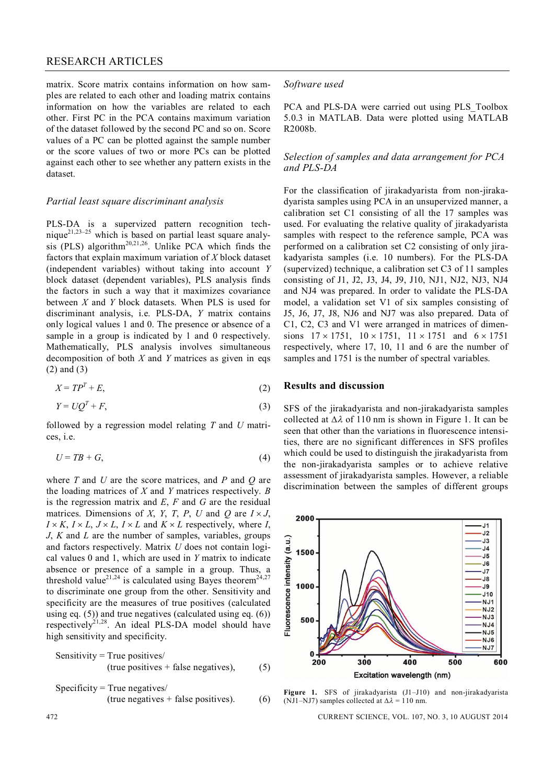# RESEARCH ARTICLES

matrix. Score matrix contains information on how samples are related to each other and loading matrix contains information on how the variables are related to each other. First PC in the PCA contains maximum variation of the dataset followed by the second PC and so on. Score values of a PC can be plotted against the sample number or the score values of two or more PCs can be plotted against each other to see whether any pattern exists in the dataset.

#### *Partial least square discriminant analysis*

PLS-DA is a supervized pattern recognition technique<sup>21,23–25</sup> which is based on partial least square analysis (PLS) algorithm<sup>20,21,26</sup>. Unlike PCA which finds the factors that explain maximum variation of *X* block dataset (independent variables) without taking into account *Y* block dataset (dependent variables), PLS analysis finds the factors in such a way that it maximizes covariance between *X* and *Y* block datasets. When PLS is used for discriminant analysis, i.e. PLS-DA, *Y* matrix contains only logical values 1 and 0. The presence or absence of a sample in a group is indicated by 1 and 0 respectively. Mathematically, PLS analysis involves simultaneous decomposition of both *X* and *Y* matrices as given in eqs (2) and (3)

$$
X = TP^T + E,\tag{2}
$$

$$
Y = UQ^T + F,\tag{3}
$$

followed by a regression model relating *T* and *U* matrices, i.e.

$$
U = TB + G,\tag{4}
$$

where *T* and *U* are the score matrices, and *P* and *Q* are the loading matrices of *X* and *Y* matrices respectively. *B* is the regression matrix and *E*, *F* and *G* are the residual matrices. Dimensions of *X*, *Y*, *T*, *P*, *U* and *Q* are  $I \times J$ ,  $I \times K$ ,  $I \times L$ ,  $J \times L$ ,  $I \times L$  and  $K \times L$  respectively, where *I*, *J*, *K* and *L* are the number of samples, variables, groups and factors respectively. Matrix *U* does not contain logical values 0 and 1, which are used in *Y* matrix to indicate absence or presence of a sample in a group. Thus, a threshold value<sup>21,24</sup> is calculated using Bayes theorem<sup>24,27</sup> to discriminate one group from the other. Sensitivity and specificity are the measures of true positives (calculated using eq. (5)) and true negatives (calculated using eq. (6)) respectively $2^{1,28}$ . An ideal PLS-DA model should have high sensitivity and specificity.

Sensitivity = True positives/ (true positives + false negatives), (5)

Specificity = True negatives/ (true negatives + false positives). (6)

#### *Software used*

PCA and PLS-DA were carried out using PLS Toolbox 5.0.3 in MATLAB. Data were plotted using MATLAB R2008b.

# *Selection of samples and data arrangement for PCA and PLS-DA*

For the classification of jirakadyarista from non-jirakadyarista samples using PCA in an unsupervized manner, a calibration set C1 consisting of all the 17 samples was used. For evaluating the relative quality of jirakadyarista samples with respect to the reference sample, PCA was performed on a calibration set C2 consisting of only jirakadyarista samples (i.e. 10 numbers). For the PLS-DA (supervized) technique, a calibration set C3 of 11 samples consisting of J1, J2, J3, J4, J9, J10, NJ1, NJ2, NJ3, NJ4 and NJ4 was prepared. In order to validate the PLS-DA model, a validation set V1 of six samples consisting of J5, J6, J7, J8, NJ6 and NJ7 was also prepared. Data of C1, C2, C3 and V1 were arranged in matrices of dimensions  $17 \times 1751$ ,  $10 \times 1751$ ,  $11 \times 1751$  and  $6 \times 1751$ respectively, where 17, 10, 11 and 6 are the number of samples and 1751 is the number of spectral variables.

#### **Results and discussion**

SFS of the jirakadyarista and non-jirakadyarista samples collected at  $\Delta \lambda$  of 110 nm is shown in Figure 1. It can be seen that other than the variations in fluorescence intensities, there are no significant differences in SFS profiles which could be used to distinguish the jirakadyarista from the non-jirakadyarista samples or to achieve relative assessment of jirakadyarista samples. However, a reliable discrimination between the samples of different groups



**Figure 1.** SFS of jirakadyarista (J1–J10) and non-jirakadyarista (NJ1–NJ7) samples collected at  $\Delta \lambda = 110$  nm.

472 CURRENT SCIENCE, VOL. 107, NO. 3, 10 AUGUST 2014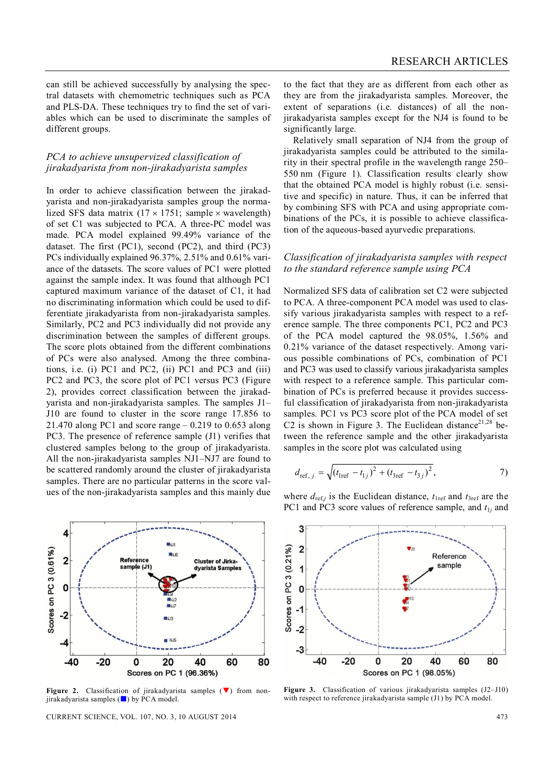can still be achieved successfully by analysing the spectral datasets with chemometric techniques such as PCA and PLS-DA. These techniques try to find the set of variables which can be used to discriminate the samples of different groups.

# *PCA to achieve unsupervized classification of jirakadyarista from non-jirakadyarista samples*

In order to achieve classification between the jirakadyarista and non-jirakadyarista samples group the normalized SFS data matrix  $(17 \times 1751)$ ; sample  $\times$  wavelength) of set C1 was subjected to PCA. A three-PC model was made. PCA model explained 99.49% variance of the dataset. The first (PC1), second (PC2), and third (PC3) PCs individually explained 96.37%, 2.51% and 0.61% variance of the datasets. The score values of PC1 were plotted against the sample index. It was found that although PC1 captured maximum variance of the dataset of C1, it had no discriminating information which could be used to differentiate jirakadyarista from non-jirakadyarista samples. Similarly, PC2 and PC3 individually did not provide any discrimination between the samples of different groups. The score plots obtained from the different combinations of PCs were also analysed. Among the three combinations, i.e. (i) PC1 and PC2, (ii) PC1 and PC3 and (iii) PC2 and PC3, the score plot of PC1 versus PC3 (Figure 2), provides correct classification between the jirakadyarista and non-jirakadyarista samples. The samples J1– J10 are found to cluster in the score range 17.856 to 21.470 along PC1 and score range  $-0.219$  to 0.653 along PC3. The presence of reference sample (J1) verifies that clustered samples belong to the group of jirakadyarista. All the non-jirakadyarista samples NJ1–NJ7 are found to be scattered randomly around the cluster of jirakadyarista samples. There are no particular patterns in the score values of the non-jirakadyarista samples and this mainly due



**Figure 2.** Classification of jirakadyarista samples  $(\nabla)$  from nonjirakadyarista samples  $(\blacksquare)$  by PCA model.

CURRENT SCIENCE, VOL. 107, NO. 3, 10 AUGUST 2014 473

to the fact that they are as different from each other as they are from the jirakadyarista samples. Moreover, the extent of separations (i.e. distances) of all the nonjirakadyarista samples except for the NJ4 is found to be significantly large.

Relatively small separation of NJ4 from the group of jirakadyarista samples could be attributed to the similarity in their spectral profile in the wavelength range 250– 550 nm (Figure 1). Classification results clearly show that the obtained PCA model is highly robust (i.e. sensitive and specific) in nature. Thus, it can be inferred that by combining SFS with PCA and using appropriate combinations of the PCs, it is possible to achieve classification of the aqueous-based ayurvedic preparations.

# *Classification of jirakadyarista samples with respect to the standard reference sample using PCA*

Normalized SFS data of calibration set C2 were subjected to PCA. A three-component PCA model was used to classify various jirakadyarista samples with respect to a reference sample. The three components PC1, PC2 and PC3 of the PCA model captured the 98.05%, 1.56% and 0.21% variance of the dataset respectively. Among various possible combinations of PCs, combination of PC1 and PC3 was used to classify various jirakadyarista samples with respect to a reference sample. This particular combination of PCs is preferred because it provides successful classification of jirakadyarista from non-jirakadyarista samples. PC1 vs PC3 score plot of the PCA model of set C2 is shown in Figure 3. The Euclidean distance<sup>21,28</sup> between the reference sample and the other jirakadyarista samples in the score plot was calculated using

$$
d_{\text{ref}, j} = \sqrt{(t_{\text{Iref}} - t_{1j})^2 + (t_{\text{3ref}} - t_{3j})^2},
$$
 (7)

where  $d_{ref,j}$  is the Euclidean distance,  $t_{1ref}$  and  $t_{3ref}$  are the PC1 and PC3 score values of reference sample, and  $t_{1j}$  and



**Figure 3.** Classification of various jirakadyarista samples (J2–J10) with respect to reference jirakadyarista sample (J1) by PCA model.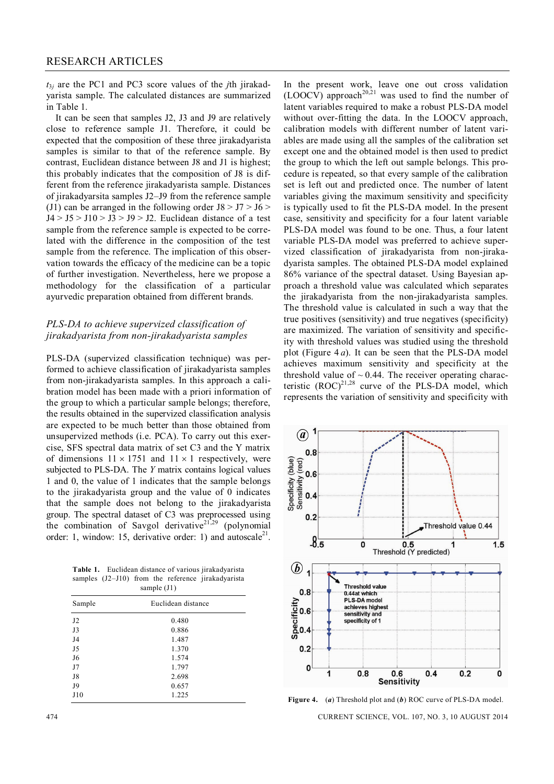*t*3*<sup>j</sup>* are the PC1 and PC3 score values of the *j*th jirakadyarista sample. The calculated distances are summarized in Table 1.

It can be seen that samples J2, J3 and J9 are relatively close to reference sample J1. Therefore, it could be expected that the composition of these three jirakadyarista samples is similar to that of the reference sample. By contrast, Euclidean distance between J8 and J1 is highest; this probably indicates that the composition of J8 is different from the reference jirakadyarista sample. Distances of jirakadyarsita samples J2–J9 from the reference sample (J1) can be arranged in the following order  $J8 > J7 > J6$  $J4 > J5 > J10 > J3 > J9 > J2$ . Euclidean distance of a test sample from the reference sample is expected to be correlated with the difference in the composition of the test sample from the reference. The implication of this observation towards the efficacy of the medicine can be a topic of further investigation. Nevertheless, here we propose a methodology for the classification of a particular ayurvedic preparation obtained from different brands.

# *PLS-DA to achieve supervized classification of jirakadyarista from non-jirakadyarista samples*

PLS-DA (supervized classification technique) was performed to achieve classification of jirakadyarista samples from non-jirakadyarista samples. In this approach a calibration model has been made with a priori information of the group to which a particular sample belongs; therefore, the results obtained in the supervized classification analysis are expected to be much better than those obtained from unsupervized methods (i.e. PCA). To carry out this exercise, SFS spectral data matrix of set C3 and the Y matrix of dimensions  $11 \times 1751$  and  $11 \times 1$  respectively, were subjected to PLS-DA. The *Y* matrix contains logical values 1 and 0, the value of 1 indicates that the sample belongs to the jirakadyarista group and the value of 0 indicates that the sample does not belong to the jirakadyarista group. The spectral dataset of C3 was preprocessed using the combination of Savgol derivative<sup>21,29</sup> (polynomial order: 1, window: 15, derivative order: 1) and autoscale<sup>21</sup>.

**Table 1.** Euclidean distance of various jirakadyarista samples (J2-J10) from the reference jirakadyarista sample (J1)

| $0$ umpro $\sqrt{9}$ |                    |  |
|----------------------|--------------------|--|
| Sample               | Euclidean distance |  |
| J2                   | 0.480              |  |
| J3                   | 0.886              |  |
| J4                   | 1.487              |  |
| J5                   | 1.370              |  |
| J6                   | 1.574              |  |
| J7                   | 1.797              |  |
| J8                   | 2.698              |  |
| J9                   | 0.657              |  |
| J10                  | 1.225              |  |
|                      |                    |  |

In the present work, leave one out cross validation (LOOCV) approach<sup>20,21</sup> was used to find the number of latent variables required to make a robust PLS-DA model without over-fitting the data. In the LOOCV approach, calibration models with different number of latent variables are made using all the samples of the calibration set except one and the obtained model is then used to predict the group to which the left out sample belongs. This procedure is repeated, so that every sample of the calibration set is left out and predicted once. The number of latent variables giving the maximum sensitivity and specificity is typically used to fit the PLS-DA model. In the present case, sensitivity and specificity for a four latent variable PLS-DA model was found to be one. Thus, a four latent variable PLS-DA model was preferred to achieve supervized classification of jirakadyarista from non-jirakadyarista samples. The obtained PLS-DA model explained 86% variance of the spectral dataset. Using Bayesian approach a threshold value was calculated which separates the jirakadyarista from the non-jirakadyarista samples. The threshold value is calculated in such a way that the true positives (sensitivity) and true negatives (specificity) are maximized. The variation of sensitivity and specificity with threshold values was studied using the threshold plot (Figure 4 *a*). It can be seen that the PLS-DA model achieves maximum sensitivity and specificity at the threshold value of  $\sim 0.44$ . The receiver operating characteristic  $(ROC)^{21,28}$  curve of the PLS-DA model, which represents the variation of sensitivity and specificity with



**Figure 4.** (*a*) Threshold plot and (*b*) ROC curve of PLS-DA model.

474 CURRENT SCIENCE, VOL. 107, NO. 3, 10 AUGUST 2014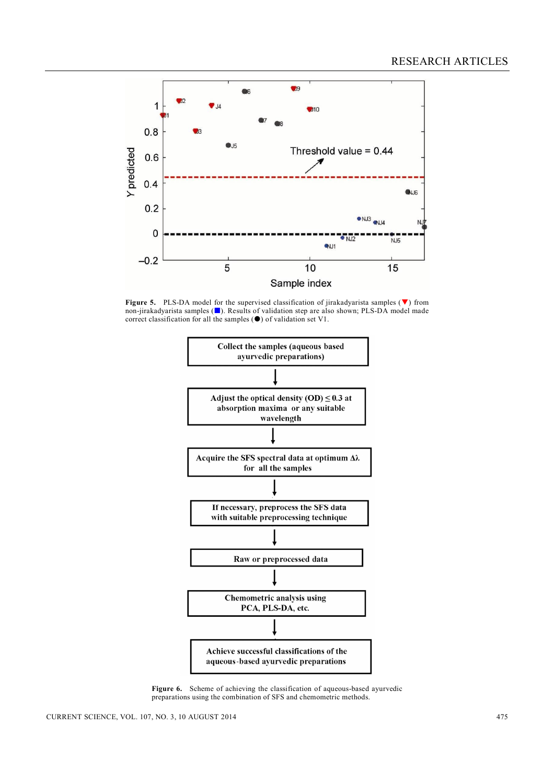

**Figure 5.** PLS-DA model for the supervised classification of jirakadyarista samples  $(\blacktriangledown)$  from non-jirakadyarista samples ( $\Box$ ). Results of validation step are also shown; PLS-DA model made correct classification for all the samples  $(\bullet)$  of validation set V1.



**Figure 6.** Scheme of achieving the classification of aqueous-based ayurvedic preparations using the combination of SFS and chemometric methods.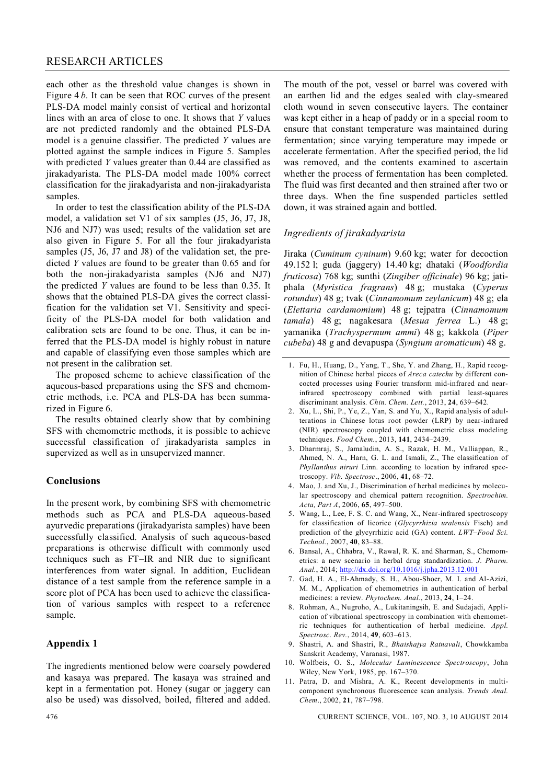each other as the threshold value changes is shown in Figure 4 *b*. It can be seen that ROC curves of the present PLS-DA model mainly consist of vertical and horizontal lines with an area of close to one. It shows that *Y* values are not predicted randomly and the obtained PLS-DA model is a genuine classifier. The predicted *Y* values are plotted against the sample indices in Figure 5. Samples with predicted *Y* values greater than 0.44 are classified as jirakadyarista. The PLS-DA model made 100% correct classification for the jirakadyarista and non-jirakadyarista samples.

In order to test the classification ability of the PLS-DA model, a validation set V1 of six samples (J5, J6, J7, J8, NJ6 and NJ7) was used; results of the validation set are also given in Figure 5. For all the four jirakadyarista samples (J5, J6, J7 and J8) of the validation set, the predicted *Y* values are found to be greater than 0.65 and for both the non-jirakadyarista samples (NJ6 and NJ7) the predicted *Y* values are found to be less than 0.35. It shows that the obtained PLS-DA gives the correct classification for the validation set V1. Sensitivity and specificity of the PLS-DA model for both validation and calibration sets are found to be one. Thus, it can be inferred that the PLS-DA model is highly robust in nature and capable of classifying even those samples which are not present in the calibration set.

The proposed scheme to achieve classification of the aqueous-based preparations using the SFS and chemometric methods, i.e. PCA and PLS-DA has been summarized in Figure 6.

The results obtained clearly show that by combining SFS with chemometric methods, it is possible to achieve successful classification of jirakadyarista samples in supervized as well as in unsupervized manner.

# **Conclusions**

In the present work, by combining SFS with chemometric methods such as PCA and PLS-DA aqueous-based ayurvedic preparations (jirakadyarista samples) have been successfully classified. Analysis of such aqueous-based preparations is otherwise difficult with commonly used techniques such as FT–IR and NIR due to significant interferences from water signal. In addition, Euclidean distance of a test sample from the reference sample in a score plot of PCA has been used to achieve the classification of various samples with respect to a reference sample.

#### **Appendix 1**

The ingredients mentioned below were coarsely powdered and kasaya was prepared. The kasaya was strained and kept in a fermentation pot. Honey (sugar or jaggery can also be used) was dissolved, boiled, filtered and added.

The mouth of the pot, vessel or barrel was covered with an earthen lid and the edges sealed with clay-smeared cloth wound in seven consecutive layers. The container was kept either in a heap of paddy or in a special room to ensure that constant temperature was maintained during fermentation; since varying temperature may impede or accelerate fermentation. After the specified period, the lid was removed, and the contents examined to ascertain whether the process of fermentation has been completed. The fluid was first decanted and then strained after two or three days. When the fine suspended particles settled down, it was strained again and bottled.

#### *Ingredients of jirakadyarista*

Jiraka (*Cuminum cyninum*) 9.60 kg; water for decoction 49.152 l; guda (jaggery) 14.40 kg; dhataki (*Woodfordia fruticosa*) 768 kg; sunthi (*Zingiber officinale*) 96 kg; jatiphala (*Myristica fragrans*) 48 g; mustaka (*Cyperus rotundus*) 48 g; tvak (*Cinnamomum zeylanicum*) 48 g; ela (*Elettaria cardamomium*) 48 g; tejpatra (*Cinnamomum tamala*) 48 g; nagakesara (*Mesua ferrea* L.) 48 g; yamanika (*Trachyspermum ammi*) 48 g; kakkola (*Piper cubeba*) 48 g and devapuspa (*Syngium aromaticum*) 48 g.

- 2. Xu, L., Shi, P., Ye, Z., Yan, S. and Yu, X., Rapid analysis of adulterations in Chinese lotus root powder (LRP) by near-infrared (NIR) spectroscopy coupled with chemometric class modeling techniques. *Food Chem.*, 2013, **141**, 2434–2439.
- 3. Dharmraj, S., Jamaludin, A. S., Razak, H. M., Valliappan, R., Ahmed, N. A., Harn, G. L. and Ismali, Z., The classification of *Phyllanthus niruri* Linn. according to location by infrared spectroscopy. *Vib. Spectrosc*., 2006, **41**, 68–72.
- 4. Mao, J. and Xu, J., Discrimination of herbal medicines by molecular spectroscopy and chemical pattern recognition. *Spectrochim. Acta, Part A*, 2006, **65**, 497–500.
- 5. Wang, L., Lee, F. S. C. and Wang, X., Near-infrared spectroscopy for classification of licorice (*Glycyrrhizia uralensis* Fisch) and prediction of the glycyrrhizic acid (GA) content. *LWT–Food Sci. Technol.*, 2007, **40**, 83–88.
- 6. Bansal, A., Chhabra, V., Rawal, R. K. and Sharman, S., Chemometrics: a new scenario in herbal drug standardization. *J. Pharm. Anal.*, 2014; http://dx.doi.org/10.1016/j.jpha.2013.12.001
- 7. Gad, H. A., El-Ahmady, S. H., Abou-Shoer, M. I. and Al-Azizi, M. M., Application of chemometrics in authentication of herbal medicines: a review. *Phytochem. Anal.*, 2013, **24**, 1–24.
- 8. Rohman, A., Nugroho, A., Lukitaningsih, E. and Sudajadi, Application of vibrational spectroscopy in combination with chemometric techniques for authentication of herbal medicine. *Appl. Spectrosc. Rev.*, 2014, **49**, 603–613.
- 9. Shastri, A. and Shastri, R., *Bhaishajya Ratnavali*, Chowkkamba Sanskrit Academy, Varanasi, 1987.
- 10. Wolfbeis, O. S., *Molecular Luminescence Spectroscopy*, John Wiley, New York, 1985, pp. 167–370.
- 11. Patra, D. and Mishra, A. K., Recent developments in multicomponent synchronous fluorescence scan analysis. *Trends Anal. Chem*., 2002, **21**, 787–798.

476 CURRENT SCIENCE, VOL. 107, NO. 3, 10 AUGUST 2014

<sup>1.</sup> Fu, H., Huang, D., Yang, T., She, Y. and Zhang, H., Rapid recognition of Chinese herbal pieces of *Areca catechu* by different concocted processes using Fourier transform mid-infrared and nearinfrared spectroscopy combined with partial least-squares discriminant analysis. *Chin. Chem. Lett.*, 2013, **24**, 639–642.